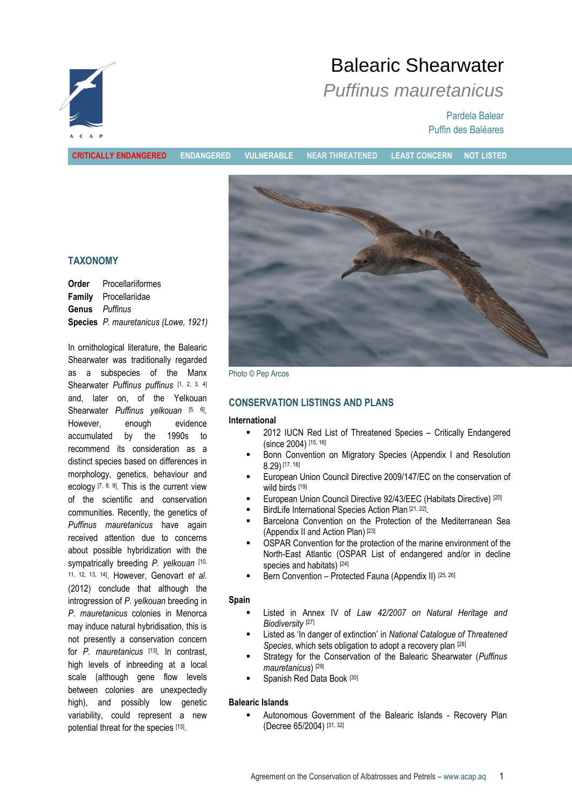

# Balearic Shearwater

## *Puffinus mauretanicus*

Pardela Balear Puffin des Baléares

**CRITICALLY ENDANGERED ENDANGERED VULNERABLE NEAR THREATENED LEAST CONCERN NOT LISTED**

## **TAXONOMY**

|                       | <b>Order</b> Procellariiformes       |  |
|-----------------------|--------------------------------------|--|
|                       | <b>Family</b> Procellariidae         |  |
| <b>Genus</b> Puffinus |                                      |  |
|                       | Species P. mauretanicus (Lowe, 1921) |  |

In ornithological literature, the Balearic Shearwater was traditionally regarded as a subspecies of the Manx Shearwater *Puffinus puffinus* [1, 2, 3, 4] and, later on, of the Yelkouan Shearwater *Puffinus yelkouan* [5, 6]. However, enough evidence accumulated by the 1990s to recommend its consideration as a distinct species based on differences in morphology, genetics, behaviour and ecology  $[7, 8, 9]$ . This is the current view of the scientific and conservation communities. Recently, the genetics of *Puffinus mauretanicus* have again received attention due to concerns about possible hybridization with the sympatrically breeding *P. yelkouan* [10, 11, 12, 13, 14] . However, Genovart *et al.* (2012) conclude that although the introgression of *P. yelkouan* breeding in *P. mauretanicus* colonies in Menorca may induce natural hybridisation, this is not presently a conservation concern for *P. mauretanicus* [13] . In contrast, high levels of inbreeding at a local scale (although gene flow levels between colonies are unexpectedly high), and possibly low genetic variability, could represent a new potential threat for the species [13].



Photo © Pep Arcos

## **CONSERVATION LISTINGS AND PLANS**

#### **International**

- 2012 IUCN Red List of Threatened Species Critically Endangered (since 2004) [15, 16]
- Bonn Convention on Migratory Species (Appendix I and Resolution 8.29) [17, 18]
- European Union Council Directive 2009/147/EC on the conservation of wild birds [19]
- European Union Council Directive 92/43/EEC (Habitats Directive) [20]
- **BirdLife International Species Action Plan [21, 22]**
- Barcelona Convention on the Protection of the Mediterranean Sea (Appendix II and Action Plan) [23]
- OSPAR Convention for the protection of the marine environment of the North-East Atlantic (OSPAR List of endangered and/or in decline species and habitats)<sup>[24]</sup>
- Bern Convention Protected Fauna (Appendix II) [25, 26]

#### **Spain**

- Listed in Annex IV of *Law 42/2007 on Natural Heritage and Biodiversity* [27]
- Listed as 'In danger of extinction' in *National Catalogue of Threatened Species*, which sets obligation to adopt a recovery plan [28]
- Strategy for the Conservation of the Balearic Shearwater (*Puffinus mauretanicus*) [29]
- Spanish Red Data Book [30]

## **Balearic Islands**

 Autonomous Government of the Balearic Islands - Recovery Plan (Decree 65/2004) [31, 32]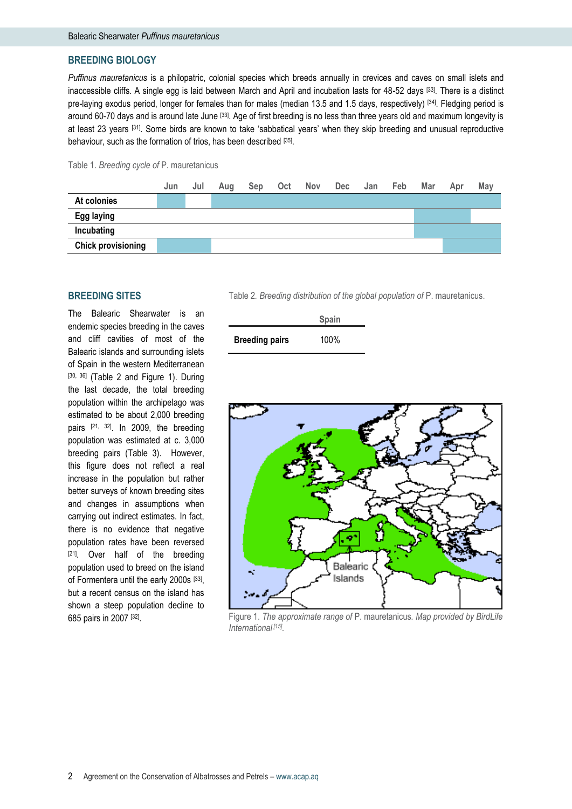#### **BREEDING BIOLOGY**

*Puffinus mauretanicus* is a philopatric, colonial species which breeds annually in crevices and caves on small islets and inaccessible cliffs. A single egg is laid between March and April and incubation lasts for 48-52 days [33]. There is a distinct pre-laying exodus period, longer for females than for males (median 13.5 and 1.5 days, respectively) [34]. Fledging period is around 60-70 days and is around late June [33]. Age of first breeding is no less than three years old and maximum longevity is at least 23 years [31]. Some birds are known to take 'sabbatical years' when they skip breeding and unusual reproductive behaviour, such as the formation of trios, has been described [35].





#### **BREEDING SITES**

The Balearic Shearwater is an endemic species breeding in the caves and cliff cavities of most of the Balearic islands and surrounding islets of Spain in the western Mediterranean [30, 36] (Table 2 and Figure 1). During the last decade, the total breeding population within the archipelago was estimated to be about 2,000 breeding pairs [21, 32]. In 2009, the breeding population was estimated at c. 3,000 breeding pairs (Table 3). However, this figure does not reflect a real increase in the population but rather better surveys of known breeding sites and changes in assumptions when carrying out indirect estimates. In fact, there is no evidence that negative population rates have been reversed [21]. Over half of the breeding population used to breed on the island of Formentera until the early 2000s [33], but a recent census on the island has shown a steep population decline to 685 pairs in 2007 [<sup>32]</sup>.

Table 2*. Breeding distribution of the global population of* P. mauretanicus.

|                       | <b>Spain</b> |
|-----------------------|--------------|
| <b>Breeding pairs</b> | 100%         |



Figure 1. *The approximate range of* P. mauretanicus*. Map provided by BirdLife International [15] .*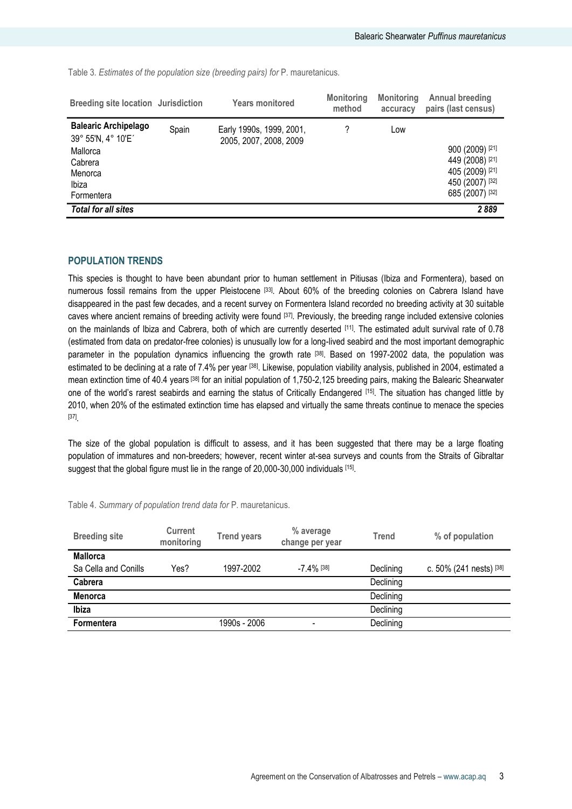Table 3*. Estimates of the population size (breeding pairs) for* P. mauretanicus*.* 

| Breeding site location Jurisdiction                                                                        |       | <b>Years monitored</b>                             | <b>Monitoring</b><br>method | <b>Monitoring</b><br>accuracy | <b>Annual breeding</b><br>pairs (last census)                                               |
|------------------------------------------------------------------------------------------------------------|-------|----------------------------------------------------|-----------------------------|-------------------------------|---------------------------------------------------------------------------------------------|
| <b>Balearic Archipelago</b><br>39° 55'N, 4° 10'E'<br>Mallorca<br>Cabrera<br>Menorca<br>Ibiza<br>Formentera | Spain | Early 1990s, 1999, 2001,<br>2005, 2007, 2008, 2009 | 7                           | Low                           | 900 (2009) [21]<br>449 (2008) [21]<br>405 (2009) [21]<br>450 (2007) [32]<br>685 (2007) [32] |
| <b>Total for all sites</b>                                                                                 |       |                                                    |                             |                               | 2889                                                                                        |

## **POPULATION TRENDS**

This species is thought to have been abundant prior to human settlement in Pitiusas (Ibiza and Formentera), based on numerous fossil remains from the upper Pleistocene [33]. About 60% of the breeding colonies on Cabrera Island have disappeared in the past few decades, and a recent survey on Formentera Island recorded no breeding activity at 30 suitable caves where ancient remains of breeding activity were found [37]. Previously, the breeding range included extensive colonies on the mainlands of Ibiza and Cabrera, both of which are currently deserted [11]. The estimated adult survival rate of 0.78 (estimated from data on predator-free colonies) is unusually low for a long-lived seabird and the most important demographic parameter in the population dynamics influencing the growth rate [38] . Based on 1997-2002 data, the population was estimated to be declining at a rate of 7.4% per year <sup>[38]</sup>. Likewise, population viability analysis, published in 2004, estimated a mean extinction time of 40.4 years [38] for an initial population of 1,750-2,125 breeding pairs, making the Balearic Shearwater one of the world's rarest seabirds and earning the status of Critically Endangered [15]. The situation has changed little by 2010, when 20% of the estimated extinction time has elapsed and virtually the same threats continue to menace the species [37] .

The size of the global population is difficult to assess, and it has been suggested that there may be a large floating population of immatures and non-breeders; however, recent winter at-sea surveys and counts from the Straits of Gibraltar suggest that the global figure must lie in the range of 20,000-30,000 individuals [15].

| <b>Breeding site</b> | Current<br>monitoring | <b>Trend years</b> | % average<br>change per year | Trend     | % of population         |
|----------------------|-----------------------|--------------------|------------------------------|-----------|-------------------------|
| <b>Mallorca</b>      |                       |                    |                              |           |                         |
| Sa Cella and Conills | Yes?                  | 1997-2002          | $-7.4\%$ [38]                | Declining | c. 50% (241 nests) [38] |
| Cabrera              |                       |                    |                              | Declining |                         |
| <b>Menorca</b>       |                       |                    |                              | Declining |                         |
| Ibiza                |                       |                    |                              | Declining |                         |
| <b>Formentera</b>    |                       | 1990s - 2006       | $\overline{\phantom{a}}$     | Declining |                         |

Table 4. *Summary of population trend data for* P. mauretanicus.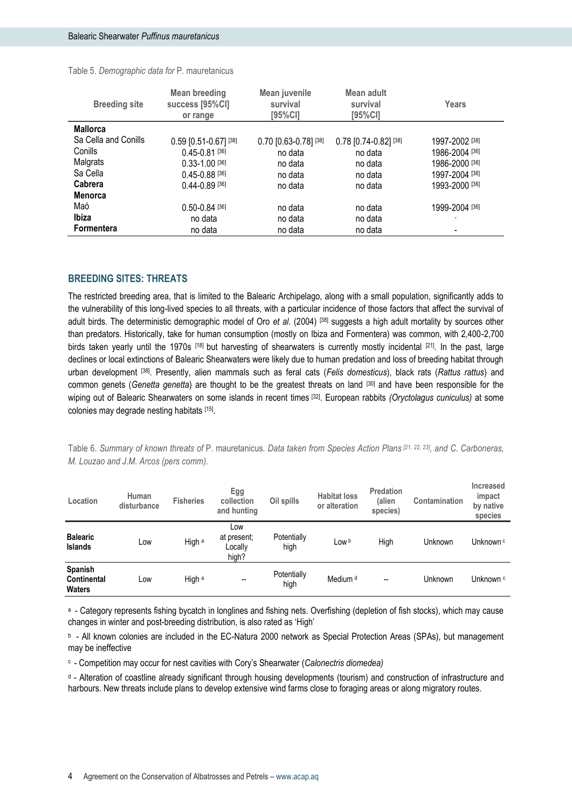| <b>Breeding site</b> | <b>Mean breeding</b><br>success [95%CI]<br>or range | Mean juvenile<br>survival<br>[95%CI] | Mean adult<br>survival<br>[95%CI] | Years                     |
|----------------------|-----------------------------------------------------|--------------------------------------|-----------------------------------|---------------------------|
| <b>Mallorca</b>      |                                                     |                                      |                                   |                           |
| Sa Cella and Conills | $0.59$ [0.51-0.67] [38]                             | 0.70 [0.63-0.78] [38]                | 0.78 [0.74-0.82] [38]             | 1997-2002 [38]            |
| Conills              | $0.45 - 0.81$ [36]                                  | no data                              | no data                           | 1986-2004 <sup>[36]</sup> |
| Malgrats             | $0.33 - 1.00$ [36]                                  | no data                              | no data                           | 1986-2000 [36]            |
| Sa Cella             | $0.45 - 0.88$ [36]                                  | no data                              | no data                           | 1997-2004 [36]            |
| Cabrera              | $0.44 - 0.89$ [36]                                  | no data                              | no data                           | 1993-2000 [36]            |
| <b>Menorca</b>       |                                                     |                                      |                                   |                           |
| Maó                  | $0.50 - 0.84$ [36]                                  | no data                              | no data                           | 1999-2004 <sup>[36]</sup> |
| Ibiza                | no data                                             | no data                              | no data                           |                           |
| Formentera           | no data                                             | no data                              | no data                           |                           |

## **BREEDING SITES: THREATS**

The restricted breeding area, that is limited to the Balearic Archipelago, along with a small population, significantly adds to the vulnerability of this long-lived species to all threats, with a particular incidence of those factors that affect the survival of adult birds. The deterministic demographic model of Oro *et al*. (2004) [38] suggests a high adult mortality by sources other than predators. Historically, take for human consumption (mostly on Ibiza and Formentera) was common, with 2,400-2,700 birds taken yearly until the 1970s [18] but harvesting of shearwaters is currently mostly incidental [21]. In the past, large declines or local extinctions of Balearic Shearwaters were likely due to human predation and loss of breeding habitat through urban development [38] . Presently, alien mammals such as feral cats (*Felis domesticus*), black rats (*Rattus rattus*) and common genets (*Genetta genetta*) are thought to be the greatest threats on land [30] and have been responsible for the wiping out of Balearic Shearwaters on some islands in recent times [32]. European rabbits *(Oryctolagus cuniculus)* at some colonies may degrade nesting habitats [15] .

Table 6. *Summary of known threats of* P. mauretanicus*. Data taken from Species Action Plans [21, 22, 23] , and C. Carboneras, M. Louzao and J.M. Arcos (pers comm).*

| Location                                       | Human<br>disturbance | <b>Fisheries</b> | Egg<br>collection<br>and hunting       | Oil spills          | <b>Habitat loss</b><br>or alteration | <b>Predation</b><br>(alien<br>species) | Contamination | <b>Increased</b><br>impact<br>by native<br>species |
|------------------------------------------------|----------------------|------------------|----------------------------------------|---------------------|--------------------------------------|----------------------------------------|---------------|----------------------------------------------------|
| <b>Balearic</b><br>Islands                     | Low                  | High a           | Low<br>at present;<br>Locally<br>high? | Potentially<br>high | Low <sup>b</sup>                     | High                                   | Unknown       | Unknown <sup>c</sup>                               |
| Spanish<br><b>Continental</b><br><b>Waters</b> | Low                  | High a           | --                                     | Potentially<br>high | Medium <sup>d</sup>                  | --                                     | Unknown       | Unknown c                                          |

a - Category represents fishing bycatch in longlines and fishing nets. Overfishing (depletion of fish stocks), which may cause changes in winter and post-breeding distribution, is also rated as 'High'

<sup>b</sup>- All known colonies are included in the EC-Natura 2000 network as Special Protection Areas (SPAs), but management may be ineffective

<sup>c</sup>- Competition may occur for nest cavities with Cory's Shearwater (*Calonectris diomedea)*

<sup>d</sup> - Alteration of coastline already significant through housing developments (tourism) and construction of infrastructure and harbours. New threats include plans to develop extensive wind farms close to foraging areas or along migratory routes.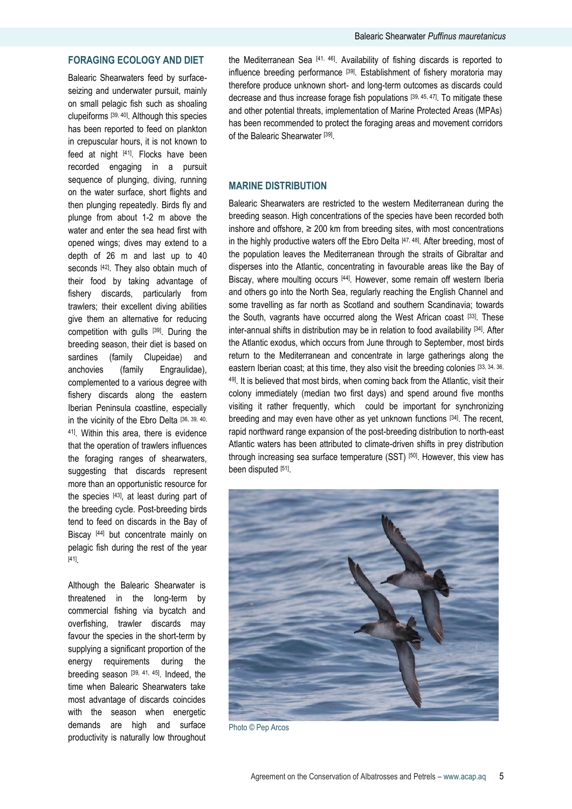## **FORAGING ECOLOGY AND DIET**

Balearic Shearwaters feed by surfaceseizing and underwater pursuit, mainly on small pelagic fish such as shoaling clupeiforms [39, 40]. Although this species has been reported to feed on plankton in crepuscular hours, it is not known to feed at night [41]. Flocks have been recorded engaging in a pursuit sequence of plunging, diving, running on the water surface, short flights and then plunging repeatedly. Birds fly and plunge from about 1-2 m above the water and enter the sea head first with opened wings; dives may extend to a depth of 26 m and last up to 40 seconds <a>[42]</a>. They also obtain much of their food by taking advantage of fishery discards, particularly from trawlers; their excellent diving abilities give them an alternative for reducing competition with gulls [39]. During the breeding season, their diet is based on sardines (family Clupeidae) and anchovies (family Engraulidae), complemented to a various degree with fishery discards along the eastern Iberian Peninsula coastline, especially in the vicinity of the Ebro Delta [36, 39, 40, 41]. Within this area, there is evidence that the operation of trawlers influences the foraging ranges of shearwaters, suggesting that discards represent more than an opportunistic resource for the species [43], at least during part of the breeding cycle. Post-breeding birds tend to feed on discards in the Bay of Biscay [44] but concentrate mainly on pelagic fish during the rest of the year [41] .

Although the Balearic Shearwater is threatened in the long-term by commercial fishing via bycatch and overfishing, trawler discards may favour the species in the short-term by supplying a significant proportion of the energy requirements during the breeding season [39, 41, 45]. Indeed, the time when Balearic Shearwaters take most advantage of discards coincides with the season when energetic demands are high and surface productivity is naturally low throughout

the Mediterranean Sea [41, 46]. Availability of fishing discards is reported to influence breeding performance [39]. Establishment of fishery moratoria may therefore produce unknown short- and long-term outcomes as discards could decrease and thus increase forage fish populations [39, 45, 47]. To mitigate these and other potential threats, implementation of Marine Protected Areas (MPAs) has been recommended to protect the foraging areas and movement corridors of the Balearic Shearwater<sup>[39]</sup>.

## **MARINE DISTRIBUTION**

Balearic Shearwaters are restricted to the western Mediterranean during the breeding season. High concentrations of the species have been recorded both inshore and offshore,  $\geq 200$  km from breeding sites, with most concentrations in the highly productive waters off the Ebro Delta [47, 48]. After breeding, most of the population leaves the Mediterranean through the straits of Gibraltar and disperses into the Atlantic, concentrating in favourable areas like the Bay of Biscay, where moulting occurs [44]. However, some remain off western Iberia and others go into the North Sea, regularly reaching the English Channel and some travelling as far north as Scotland and southern Scandinavia; towards the South, vagrants have occurred along the West African coast [33]. These inter-annual shifts in distribution may be in relation to food availability [34]. After the Atlantic exodus, which occurs from June through to September, most birds return to the Mediterranean and concentrate in large gatherings along the eastern Iberian coast; at this time, they also visit the breeding colonies [33, 34, 36, 49]. It is believed that most birds, when coming back from the Atlantic, visit their colony immediately (median two first days) and spend around five months visiting it rather frequently, which could be important for synchronizing breeding and may even have other as yet unknown functions [34]. The recent, rapid northward range expansion of the post-breeding distribution to north-east Atlantic waters has been attributed to climate-driven shifts in prey distribution through increasing sea surface temperature (SST) [50]. However, this view has been disputed [51].



Photo © Pep Arcos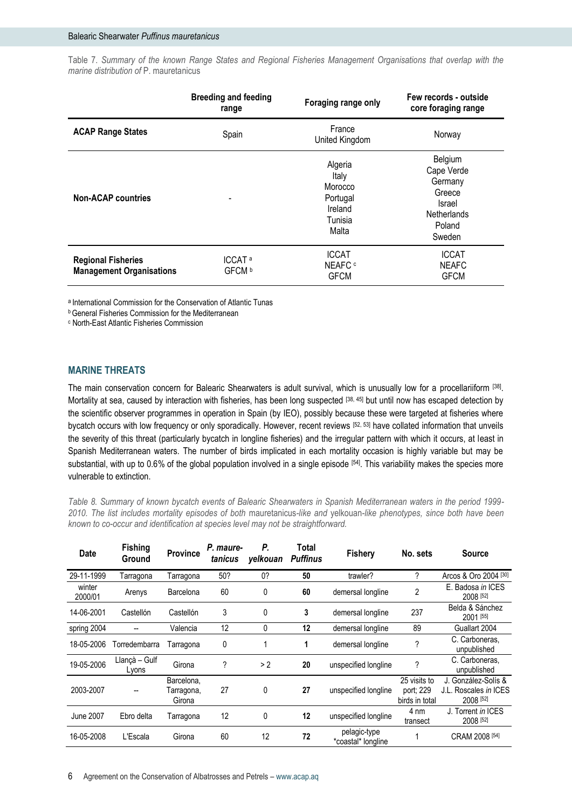Table 7. *Summary of the known Range States and Regional Fisheries Management Organisations that overlap with the marine distribution of* P. mauretanicus

|                                                              | <b>Breeding and feeding</b><br>range    | Foraging range only                                                    | Few records - outside<br>core foraging range                                            |
|--------------------------------------------------------------|-----------------------------------------|------------------------------------------------------------------------|-----------------------------------------------------------------------------------------|
| <b>ACAP Range States</b>                                     | Spain                                   | France<br>United Kingdom                                               | Norway                                                                                  |
| <b>Non-ACAP countries</b>                                    |                                         | Algeria<br>Italy<br>Morocco<br>Portugal<br>Ireland<br>Tunisia<br>Malta | Belgium<br>Cape Verde<br>Germany<br>Greece<br>Israel<br>Netherlands<br>Poland<br>Sweden |
| <b>Regional Fisheries</b><br><b>Management Organisations</b> | ICCAT <sup>a</sup><br>GFCM <sup>b</sup> | <b>ICCAT</b><br>NEAFC c<br><b>GFCM</b>                                 | <b>ICCAT</b><br><b>NEAFC</b><br><b>GFCM</b>                                             |

a International Commission for the Conservation of Atlantic Tunas

**b** General Fisheries Commission for the Mediterranean

<sup>c</sup> North-East Atlantic Fisheries Commission

## **MARINE THREATS**

The main conservation concern for Balearic Shearwaters is adult survival, which is unusually low for a procellariiform [38]. Mortality at sea, caused by interaction with fisheries, has been long suspected [38, 45] but until now has escaped detection by the scientific observer programmes in operation in Spain (by IEO), possibly because these were targeted at fisheries where bycatch occurs with low frequency or only sporadically. However, recent reviews [52, 53] have collated information that unveils the severity of this threat (particularly bycatch in longline fisheries) and the irregular pattern with which it occurs, at least in Spanish Mediterranean waters. The number of birds implicated in each mortality occasion is highly variable but may be substantial, with up to 0.6% of the global population involved in a single episode [54]. This variability makes the species more vulnerable to extinction.

*Table 8. Summary of known bycatch events of Balearic Shearwaters in Spanish Mediterranean waters in the period 1999- 2010. The list includes mortality episodes of both* mauretanicus*-like and* yelkouan*-like phenotypes, since both have been known to co-occur and identification at species level may not be straightforward.*

| <b>Date</b>       | <b>Fishing</b><br>Ground | <b>Province</b>                    | P. maure-<br>tanicus | Р.<br>yelkouan | Total<br><b>Puffinus</b> | <b>Fishery</b>                     | No. sets                                    | <b>Source</b>                                             |
|-------------------|--------------------------|------------------------------------|----------------------|----------------|--------------------------|------------------------------------|---------------------------------------------|-----------------------------------------------------------|
| 29-11-1999        | Tarragona                | Tarragona                          | 50?                  | 0?             | 50                       | trawler?                           | ?                                           | Arcos & Oro 2004 <sup>[30]</sup>                          |
| winter<br>2000/01 | Arenys                   | Barcelona                          | 60                   | 0              | 60                       | demersal longline                  | 2                                           | E. Badosa in ICES<br>2008 [52]                            |
| 14-06-2001        | Castellón                | Castellón                          | 3                    | 0              | 3                        | demersal longline                  | 237                                         | Belda & Sánchez<br>2001 [55]                              |
| spring 2004       |                          | Valencia                           | 12                   | 0              | 12                       | demersal longline                  | 89                                          | Guallart 2004                                             |
| 18-05-2006        | Torredembarra            | Tarragona                          | 0                    |                | 1                        | demersal longline                  | ?                                           | C. Carboneras,<br>unpublished                             |
| 19-05-2006        | Llançà - Gulf<br>Lyons   | Girona                             | ?                    | > 2            | 20                       | unspecified longline               | ?                                           | C. Carboneras,<br>unpublished                             |
| 2003-2007         |                          | Barcelona,<br>Tarragona,<br>Girona | 27                   | 0              | 27                       | unspecified longline               | 25 visits to<br>port; 229<br>birds in total | J. González-Solís &<br>J.L. Roscales in ICES<br>2008 [52] |
| June 2007         | Ebro delta               | Tarragona                          | 12                   | 0              | 12                       | unspecified longline               | 4 nm<br>transect                            | J. Torrent in ICES<br>2008 [52]                           |
| 16-05-2008        | L'Escala                 | Girona                             | 60                   | 12             | 72                       | pelagic-type<br>*coastal* longline |                                             | CRAM 2008 <sup>[54]</sup>                                 |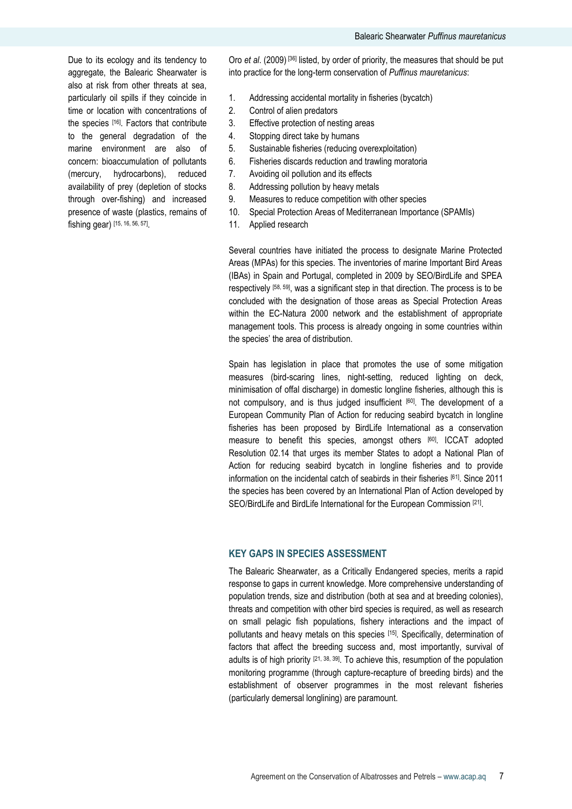Due to its ecology and its tendency to aggregate, the Balearic Shearwater is also at risk from other threats at sea, particularly oil spills if they coincide in time or location with concentrations of the species [16]. Factors that contribute to the general degradation of the marine environment are also of concern: bioaccumulation of pollutants (mercury, hydrocarbons), reduced availability of prey (depletion of stocks through over-fishing) and increased presence of waste (plastics, remains of fishing gear) [15, 16, 56, 57] .

Oro *et al.* (2009) [36] listed, by order of priority, the measures that should be put into practice for the long-term conservation of *Puffinus mauretanicus*:

- 1. Addressing accidental mortality in fisheries (bycatch)
- 2. Control of alien predators
- 3. Effective protection of nesting areas
- 4. Stopping direct take by humans
- 5. Sustainable fisheries (reducing overexploitation)
- 6. Fisheries discards reduction and trawling moratoria
- 7. Avoiding oil pollution and its effects
- 8. Addressing pollution by heavy metals
- 9. Measures to reduce competition with other species
- 10. Special Protection Areas of Mediterranean Importance (SPAMIs)
- 11. Applied research

Several countries have initiated the process to designate Marine Protected Areas (MPAs) for this species. The inventories of marine Important Bird Areas (IBAs) in Spain and Portugal, completed in 2009 by SEO/BirdLife and SPEA respectively [58, 59], was a significant step in that direction. The process is to be concluded with the designation of those areas as Special Protection Areas within the EC-Natura 2000 network and the establishment of appropriate management tools. This process is already ongoing in some countries within the species' the area of distribution.

Spain has legislation in place that promotes the use of some mitigation measures (bird-scaring lines, night-setting, reduced lighting on deck, minimisation of offal discharge) in domestic longline fisheries, although this is not compulsory, and is thus judged insufficient [60]. The development of a European Community Plan of Action for reducing seabird bycatch in longline fisheries has been proposed by BirdLife International as a conservation measure to benefit this species, amongst others [60]. ICCAT adopted Resolution 02.14 that urges its member States to adopt a National Plan of Action for reducing seabird bycatch in longline fisheries and to provide information on the incidental catch of seabirds in their fisheries [61] . Since 2011 the species has been covered by an International Plan of Action developed by SEO/BirdLife and BirdLife International for the European Commission [21].

#### **KEY GAPS IN SPECIES ASSESSMENT**

The Balearic Shearwater, as a Critically Endangered species, merits a rapid response to gaps in current knowledge. More comprehensive understanding of population trends, size and distribution (both at sea and at breeding colonies), threats and competition with other bird species is required, as well as research on small pelagic fish populations, fishery interactions and the impact of pollutants and heavy metals on this species [15]. Specifically, determination of factors that affect the breeding success and, most importantly, survival of adults is of high priority  $[21, 38, 39]$ . To achieve this, resumption of the population monitoring programme (through capture-recapture of breeding birds) and the establishment of observer programmes in the most relevant fisheries (particularly demersal longlining) are paramount.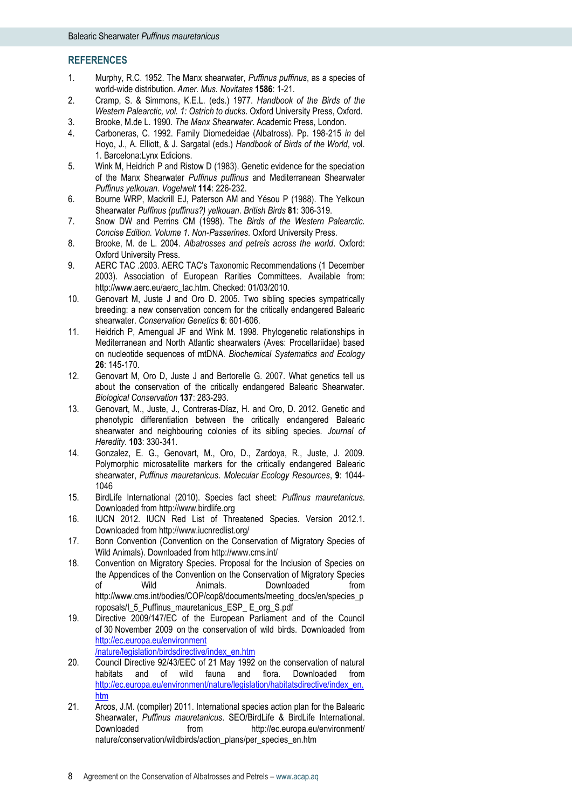#### **REFERENCES**

- 1. Murphy, R.C. 1952. The Manx shearwater, *Puffinus puffinus*, as a species of world-wide distribution. *Amer. Mus. Novitates* **1586**: 1-21.
- 2. Cramp, S. & Simmons, K.E.L. (eds.) 1977. *Handbook of the Birds of the Western Palearctic, vol. 1: Ostrich to ducks*. Oxford University Press, Oxford.
- 3. Brooke, M.de L. 1990. *The Manx Shearwater*. Academic Press, London.
- 4. Carboneras, C. 1992. Family Diomedeidae (Albatross). Pp. 198-215 *in* del Hoyo, J., A. Elliott, & J. Sargatal (eds.) *Handbook of Birds of the World*, vol. 1. Barcelona:Lynx Edicions.
- 5. Wink M, Heidrich P and Ristow D (1983). Genetic evidence for the speciation of the Manx Shearwater *Puffinus puffinus* and Mediterranean Shearwater *Puffinus yelkouan*. *Vogelwelt* **114**: 226-232.
- 6. Bourne WRP, Mackrill EJ, Paterson AM and Yésou P (1988). The Yelkoun Shearwater *Puffinus (puffinus?) yelkouan*. *British Birds* **81**: 306-319.
- 7. Snow DW and Perrins CM (1998). The *Birds of the Western Palearctic. Concise Edition. Volume 1. Non-Passerines*. Oxford University Press.
- 8. Brooke, M. de L. 2004. *Albatrosses and petrels across the world*. Oxford: Oxford University Press.
- 9. AERC TAC .2003. AERC TAC's Taxonomic Recommendations (1 December 2003). Association of European Rarities Committees. Available from: http://www.aerc.eu/aerc\_tac.htm. Checked: 01/03/2010.
- 10. Genovart M, Juste J and Oro D. 2005. Two sibling species sympatrically breeding: a new conservation concern for the critically endangered Balearic shearwater. *Conservation Genetics* **6**: 601-606.
- 11. Heidrich P, Amengual JF and Wink M. 1998. Phylogenetic relationships in Mediterranean and North Atlantic shearwaters (Aves: Procellariidae) based on nucleotide sequences of mtDNA. *Biochemical Systematics and Ecology* **26**: 145-170.
- 12. Genovart M, Oro D, Juste J and Bertorelle G. 2007. What genetics tell us about the conservation of the critically endangered Balearic Shearwater. *Biological Conservation* **137**: 283-293.
- 13. Genovart, M., Juste, J., Contreras-Díaz, H. and Oro, D. 2012. Genetic and phenotypic differentiation between the critically endangered Balearic shearwater and neighbouring colonies of its sibling species. *Journal of Heredity*. **103**: 330-341.
- 14. Gonzalez, E. G., Genovart, M., Oro, D., Zardoya, R., Juste, J. 2009. Polymorphic microsatellite markers for the critically endangered Balearic shearwater, *Puffinus mauretanicus*. *Molecular Ecology Resources*, **9**: 1044- 1046
- 15. BirdLife International (2010). Species fact sheet: *Puffinus mauretanicus*. Downloaded from http://www.birdlife.org
- 16. IUCN 2012. IUCN Red List of Threatened Species. Version 2012.1. Downloaded from http://www.iucnredlist.org/
- 17. Bonn Convention (Convention on the Conservation of Migratory Species of Wild Animals). Downloaded from http://www.cms.int/
- 18. Convention on Migratory Species. Proposal for the Inclusion of Species on the Appendices of the Convention on the Conservation of Migratory Species of Wild Animals. Downloaded from http://www.cms.int/bodies/COP/cop8/documents/meeting\_docs/en/species\_p roposals/I\_5\_Puffinus\_mauretanicus\_ESP\_ E\_org\_S.pdf
- 19. Directive 2009/147/EC of the European Parliament and of the Council of 30 November 2009 on the conservation of wild birds. Downloaded from [http://ec.europa.eu/environment](http://ec.europa.eu/environment%20/nature/legislation/birdsdirective/index_en.htm)  [/nature/legislation/birdsdirective/index\\_en.htm](http://ec.europa.eu/environment%20/nature/legislation/birdsdirective/index_en.htm)
- 20. Council Directive 92/43/EEC of 21 May 1992 on the conservation of natural habitats and of wild fauna and flora. Downloaded from [http://ec.europa.eu/environment/nature/legislation/habitatsdirective/index\\_en.](http://ec.europa.eu/environment/nature/legislation/habitatsdirective/index_en.htm) [htm](http://ec.europa.eu/environment/nature/legislation/habitatsdirective/index_en.htm)
- 21. Arcos, J.M. (compiler) 2011. International species action plan for the Balearic Shearwater, *Puffinus mauretanicus*. SEO/BirdLife & BirdLife International. Downloaded from http://ec.europa.eu/environment/ nature/conservation/wildbirds/action\_plans/per\_species\_en.htm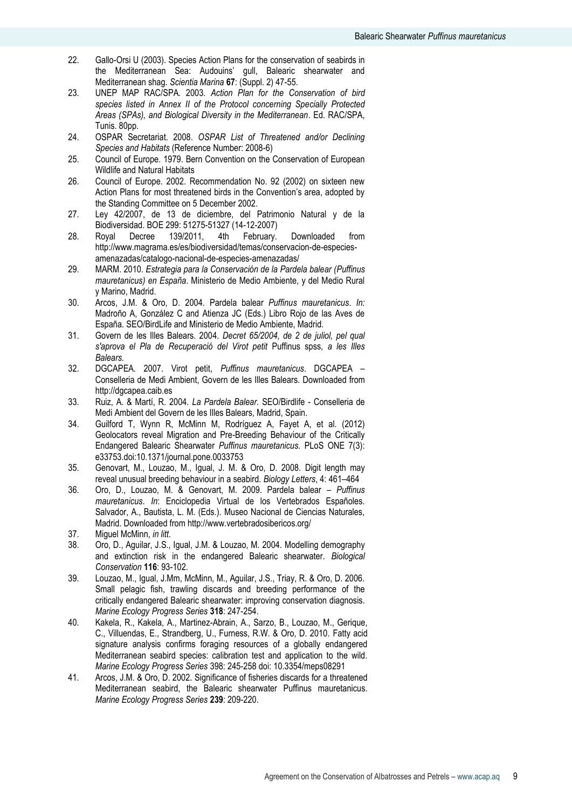- 22. Gallo-Orsi U (2003). Species Action Plans for the conservation of seabirds in the Mediterranean Sea: Audouins' gull, Balearic shearwater and Mediterranean shag. *Scientia Marina* **67**: (Suppl. 2) 47-55.
- 23. UNEP MAP RAC/SPA. 2003. *Action Plan for the Conservation of bird species listed in Annex II of the Protocol concerning Specially Protected Areas (SPAs), and Biological Diversity in the Mediterranean*. Ed. RAC/SPA, Tunis. 80pp.
- 24. OSPAR Secretariat. 2008. *OSPAR List of Threatened and/or Declining Species and Habitats* (Reference Number: 2008-6)
- 25. Council of Europe. 1979. Bern Convention on the Conservation of European Wildlife and Natural Habitats
- 26. Council of Europe. 2002. Recommendation No. 92 (2002) on sixteen new Action Plans for most threatened birds in the Convention's area, adopted by the Standing Committee on 5 December 2002.
- 27. Ley 42/2007, de 13 de diciembre, del Patrimonio Natural y de la Biodiversidad. BOE 299: 51275-51327 (14-12-2007)
- 28. Royal Decree 139/2011, 4th February. Downloaded from [http://www.magrama.es/es/biodiversidad/temas/conservacion-de-especies](http://www.magrama.es/es/biodiversidad/temas/conservacion-de-especies-amenazadas/catalogo-nacional-de-especies-amenazadas/)[amenazadas/catalogo-nacional-de-especies-amenazadas/](http://www.magrama.es/es/biodiversidad/temas/conservacion-de-especies-amenazadas/catalogo-nacional-de-especies-amenazadas/)
- 29. MARM. 2010. *Estrategia para la Conservación de la Pardela balear (Puffinus mauretanicus) en España*. Ministerio de Medio Ambiente, y del Medio Rural y Marino, Madrid.
- 30. Arcos, J.M. & Oro, D. 2004. Pardela balear *Puffinus mauretanicus*. *In:* Madroño A, González C and Atienza JC (Eds.) Libro Rojo de las Aves de España. SEO/BirdLife and Ministerio de Medio Ambiente, Madrid.
- 31. Govern de les Illes Balears. 2004. *Decret 65/2004, de 2 de juliol, pel qual s'aprova el Pla de Recuperació del Virot petit* Puffinus spss*, a les Illes Balears.*
- 32. DGCAPEA. 2007. Virot petit, *Puffinus mauretanicus*. DGCAPEA Conselleria de Medi Ambient, Govern de les Illes Balears. Downloaded from http://dgcapea.caib.es
- 33. Ruiz, A. & Martí, R. 2004. *La Pardela Balear.* SEO/Birdlife Conselleria de Medi Ambient del Govern de les Illes Balears, Madrid, Spain.
- 34. Guilford T, Wynn R, McMinn M, Rodríguez A, Fayet A, et al. (2012) Geolocators reveal Migration and Pre-Breeding Behaviour of the Critically Endangered Balearic Shearwater *Puffinus mauretanicus*. PLoS ONE 7(3): e33753.doi:10.1371/journal.pone.0033753
- 35. Genovart, M., Louzao, M., Igual, J. M. & Oro, D. 2008. Digit length may reveal unusual breeding behaviour in a seabird. *Biology Letters*, 4: 461–464
- 36. Oro, D., Louzao, M. & Genovart, M. 2009. Pardela balear *Puffinus mauretanicus*. *In*: Enciclopedia Virtual de los Vertebrados Españoles. Salvador, A., Bautista, L. M. (Eds.). Museo Nacional de Ciencias Naturales, Madrid. Downloaded from http://www.vertebradosibericos.org/
- 37. Miguel McMinn, *in litt.*
- 38. Oro, D., Aguilar, J.S., Igual, J.M. & Louzao, M. 2004. Modelling demography and extinction risk in the endangered Balearic shearwater. *Biological Conservation* **116**: 93-102.
- 39. Louzao, M., Igual, J.Mm, McMinn, M., Aguilar, J.S., Triay, R. & Oro, D. 2006. Small pelagic fish, trawling discards and breeding performance of the critically endangered Balearic shearwater: improving conservation diagnosis. *Marine Ecology Progress Series* **318**: 247-254.
- 40. Kakela, R., Kakela, A., Martinez-Abrain, A., Sarzo, B., Louzao, M., Gerique, C., Villuendas, E., Strandberg, U., Furness, R.W. & Oro, D. 2010. Fatty acid signature analysis confirms foraging resources of a globally endangered Mediterranean seabird species: calibration test and application to the wild. *Marine Ecology Progress Series* 398: 245-258 doi: 10.3354/meps08291
- 41. Arcos, J.M. & Oro, D. 2002. Significance of fisheries discards for a threatened Mediterranean seabird, the Balearic shearwater Puffinus mauretanicus. *Marine Ecology Progress Series* **239**: 209-220.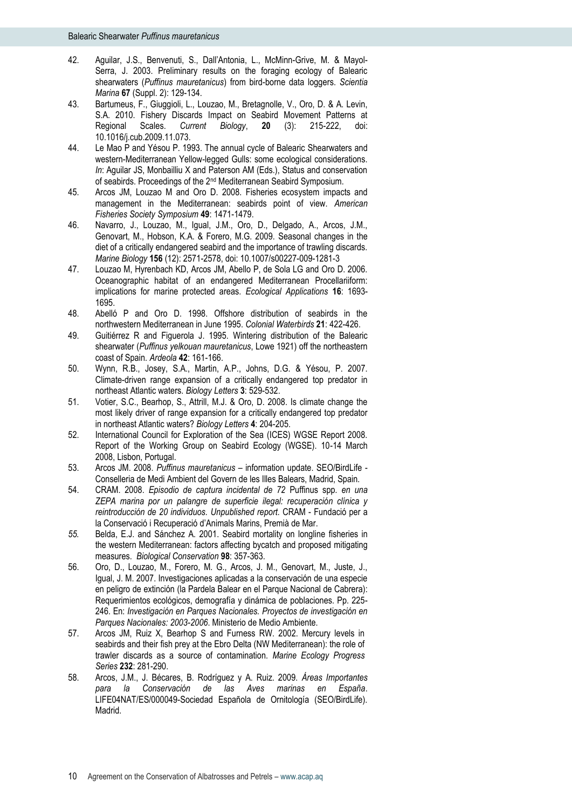- 42. Aguilar, J.S., Benvenuti, S., Dall'Antonia, L., McMinn-Grive, M. & Mayol-Serra, J. 2003. Preliminary results on the foraging ecology of Balearic shearwaters (*Puffinus mauretanicus*) from bird-borne data loggers. *Scientia Marina* **67** (Suppl. 2): 129-134.
- 43. Bartumeus, F., Giuggioli, L., Louzao, M., Bretagnolle, V., Oro, D. & A. Levin, S.A. 2010. Fishery Discards Impact on Seabird Movement Patterns at Regional Scales. *Current Biology*, **20** (3): 215-222, doi: 10.1016/j.cub.2009.11.073.
- 44. Le Mao P and Yésou P. 1993. The annual cycle of Balearic Shearwaters and western-Mediterranean Yellow-legged Gulls: some ecological considerations. *In*: Aguilar JS, Monbailliu X and Paterson AM (Eds.), Status and conservation of seabirds. Proceedings of the 2nd Mediterranean Seabird Symposium.
- 45. Arcos JM, Louzao M and Oro D. 2008. Fisheries ecosystem impacts and management in the Mediterranean: seabirds point of view. *American Fisheries Society Symposium* **49**: 1471-1479.
- 46. Navarro, J., Louzao, M., Igual, J.M., Oro, D., Delgado, A., Arcos, J.M., Genovart, M., Hobson, K.A. & Forero, M.G. 2009. Seasonal changes in the diet of a critically endangered seabird and the importance of trawling discards. *Marine Biology* **156** (12): 2571-2578, doi: 10.1007/s00227-009-1281-3
- 47. Louzao M, Hyrenbach KD, Arcos JM, Abello P, de Sola LG and Oro D. 2006. Oceanographic habitat of an endangered Mediterranean Procellariiform: implications for marine protected areas. *Ecological Applications* **16**: 1693- 1695.
- 48. Abelló P and Oro D. 1998. Offshore distribution of seabirds in the northwestern Mediterranean in June 1995. *Colonial Waterbirds* **21**: 422-426.
- 49. Guitiérrez R and Figuerola J. 1995. Wintering distribution of the Balearic shearwater (*Puffinus yelkouan mauretanicus*, Lowe 1921) off the northeastern coast of Spain. *Ardeola* **42**: 161-166.
- 50. Wynn, R.B., Josey, S.A., Martin, A.P., Johns, D.G. & Yésou, P. 2007. Climate-driven range expansion of a critically endangered top predator in northeast Atlantic waters. *Biology Letters* **3**: 529-532.
- 51. Votier, S.C., Bearhop, S., Attrill, M.J. & Oro, D. 2008. Is climate change the most likely driver of range expansion for a critically endangered top predator in northeast Atlantic waters? *Biology Letters* **4**: 204-205.
- 52. International Council for Exploration of the Sea (ICES) WGSE Report 2008. Report of the Working Group on Seabird Ecology (WGSE). 10-14 March 2008, Lisbon, Portugal.
- 53. Arcos JM. 2008. *Puffinus mauretanicus* information update. SEO/BirdLife Conselleria de Medi Ambient del Govern de les Illes Balears, Madrid, Spain.
- 54. CRAM. 2008. *Episodio de captura incidental de 72* Puffinus spp*. en una ZEPA marina por un palangre de superficie ilegal: recuperación clínica y reintroducción de 20 individuos. Unpublished report.* CRAM - Fundació per a la Conservació i Recuperació d'Animals Marins, Premià de Mar.
- *55.* Belda, E.J. and Sánchez A. 2001. Seabird mortality on longline fisheries in the western Mediterranean: factors affecting bycatch and proposed mitigating measures. *Biological Conservation* **98**: 357-363.
- 56. Oro, D., Louzao, M., Forero, M. G., Arcos, J. M., Genovart, M., Juste, J., Igual, J. M. 2007. Investigaciones aplicadas a la conservación de una especie en peligro de extinción (la Pardela Balear en el Parque Nacional de Cabrera): Requerimientos ecológicos, demografía y dinámica de poblaciones. Pp. 225- 246. En: *Investigación en Parques Nacionales. Proyectos de investigación en Parques Nacionales: 2003-2006*. Ministerio de Medio Ambiente.
- 57. Arcos JM, Ruiz X, Bearhop S and Furness RW. 2002. Mercury levels in seabirds and their fish prey at the Ebro Delta (NW Mediterranean): the role of trawler discards as a source of contamination. *Marine Ecology Progress Series* **232**: 281-290.
- 58. Arcos, J.M., J. Bécares, B. Rodríguez y A. Ruiz. 2009. *Áreas Importantes para la Conservación de las Aves marinas en España*. LIFE04NAT/ES/000049-Sociedad Española de Ornitología (SEO/BirdLife). Madrid.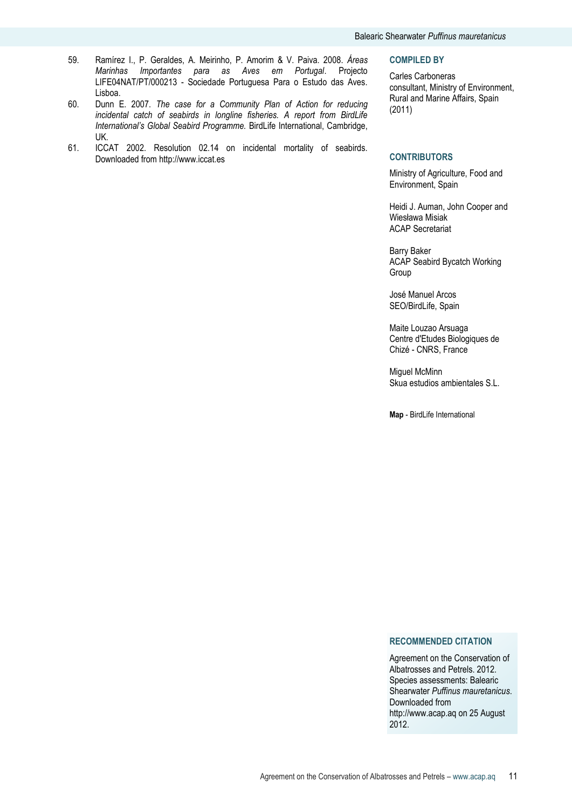- 59. Ramírez I., P. Geraldes, A. Meirinho, P. Amorim & V. Paiva. 2008. *Áreas Marinhas Importantes para as Aves em Portugal*. Projecto LIFE04NAT/PT/000213 - Sociedade Portuguesa Para o Estudo das Aves. Lisboa.
- 60. Dunn E. 2007. *The case for a Community Plan of Action for reducing incidental catch of seabirds in longline fisheries. A report from BirdLife International's Global Seabird Programme.* BirdLife International, Cambridge, UK.
- 61. ICCAT 2002. Resolution 02.14 on incidental mortality of seabirds. Downloaded from http://www.iccat.es

#### **COMPILED BY**

Carles Carboneras consultant, Ministry of Environment, Rural and Marine Affairs, Spain (2011)

#### **CONTRIBUTORS**

Ministry of Agriculture, Food and Environment, Spain

Heidi J. Auman, John Cooper and Wiesława Misiak ACAP Secretariat

Barry Baker ACAP Seabird Bycatch Working Group

José Manuel Arcos SEO/BirdLife, Spain

Maite Louzao Arsuaga Centre d'Etudes Biologiques de Chizé - CNRS, France

Miguel McMinn Skua estudios ambientales S.L.

**Map** - BirdLife International

#### **RECOMMENDED CITATION**

Agreement on the Conservation of Albatrosses and Petrels. 2012. Species assessments: Balearic Shearwater *Puffinus mauretanicus*. Downloaded from http://www.acap.aq on 25 August 2012.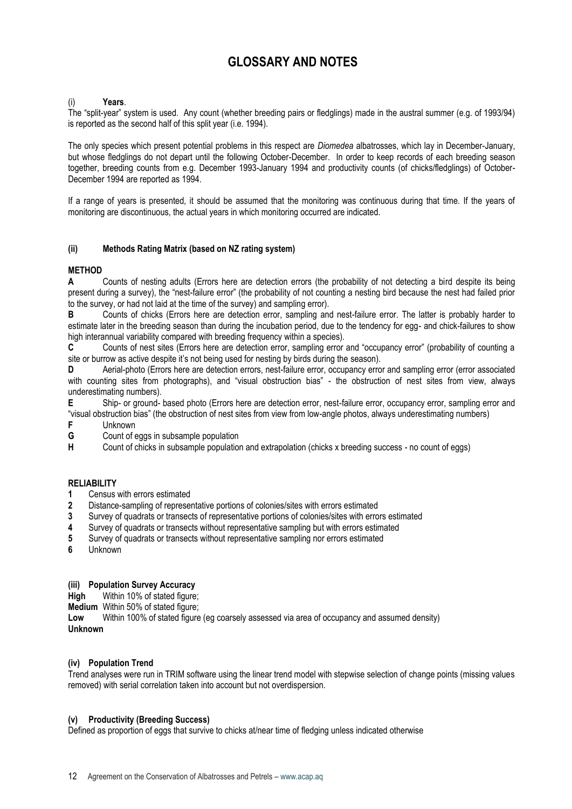## **GLOSSARY AND NOTES**

## (i) **Years**.

The "split-year" system is used. Any count (whether breeding pairs or fledglings) made in the austral summer (e.g. of 1993/94) is reported as the second half of this split year (i.e. 1994).

The only species which present potential problems in this respect are *Diomedea* albatrosses, which lay in December-January, but whose fledglings do not depart until the following October-December. In order to keep records of each breeding season together, breeding counts from e.g. December 1993-January 1994 and productivity counts (of chicks/fledglings) of October-December 1994 are reported as 1994.

If a range of years is presented, it should be assumed that the monitoring was continuous during that time. If the years of monitoring are discontinuous, the actual years in which monitoring occurred are indicated.

## **(ii) Methods Rating Matrix (based on NZ rating system)**

## **METHOD**

**A** Counts of nesting adults (Errors here are detection errors (the probability of not detecting a bird despite its being present during a survey), the "nest-failure error" (the probability of not counting a nesting bird because the nest had failed prior to the survey, or had not laid at the time of the survey) and sampling error).

**B** Counts of chicks (Errors here are detection error, sampling and nest-failure error. The latter is probably harder to estimate later in the breeding season than during the incubation period, due to the tendency for egg- and chick-failures to show high interannual variability compared with breeding frequency within a species).

**C** Counts of nest sites (Errors here are detection error, sampling error and "occupancy error" (probability of counting a site or burrow as active despite it's not being used for nesting by birds during the season).

**D** Aerial-photo (Errors here are detection errors, nest-failure error, occupancy error and sampling error (error associated with counting sites from photographs), and "visual obstruction bias" - the obstruction of nest sites from view, always underestimating numbers).

**E** Ship- or ground- based photo (Errors here are detection error, nest-failure error, occupancy error, sampling error and "visual obstruction bias" (the obstruction of nest sites from view from low-angle photos, always underestimating numbers)

- **F** Unknown
- **G** Count of eggs in subsample population<br> **H** Count of chicks in subsample population

Count of chicks in subsample population and extrapolation (chicks x breeding success - no count of eggs)

## **RELIABILITY**

- **1** Census with errors estimated
- **2** Distance-sampling of representative portions of colonies/sites with errors estimated
- **3** Survey of quadrats or transects of representative portions of colonies/sites with errors estimated
- **4** Survey of quadrats or transects without representative sampling but with errors estimated
- **5** Survey of quadrats or transects without representative sampling nor errors estimated
- **6** Unknown

#### **(iii) Population Survey Accuracy**

**High** Within 10% of stated figure:

**Medium** Within 50% of stated figure:

**Low** Within 100% of stated figure (eg coarsely assessed via area of occupancy and assumed density) **Unknown**

#### **(iv) Population Trend**

Trend analyses were run in TRIM software using the linear trend model with stepwise selection of change points (missing values removed) with serial correlation taken into account but not overdispersion.

#### **(v) Productivity (Breeding Success)**

Defined as proportion of eggs that survive to chicks at/near time of fledging unless indicated otherwise